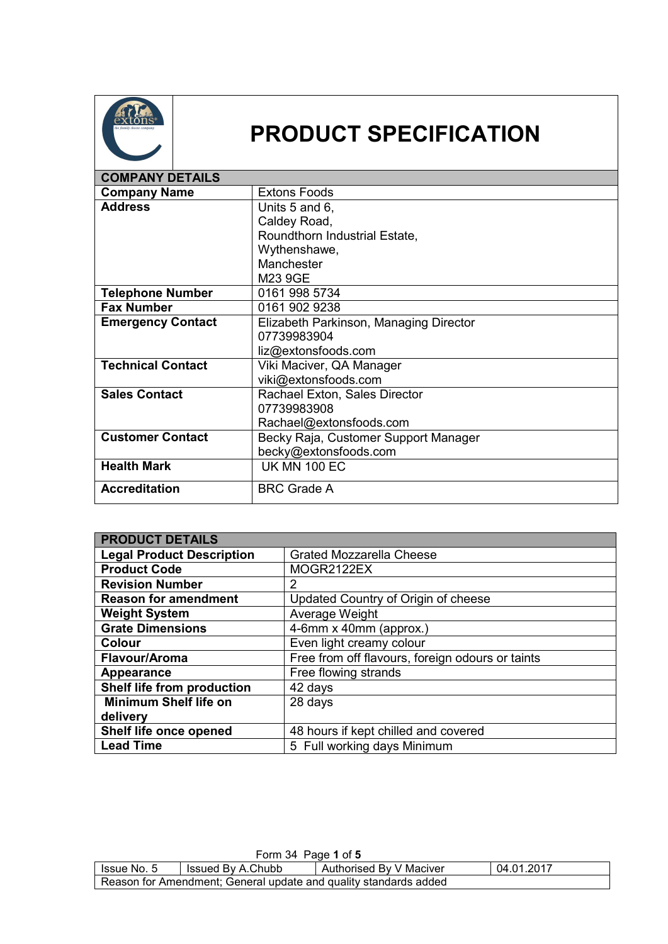

## **PRODUCT SPECIFICATION**

| <b>COMPANY DETAILS</b>   |                                        |
|--------------------------|----------------------------------------|
| <b>Company Name</b>      | <b>Extons Foods</b>                    |
| <b>Address</b>           | Units 5 and 6,                         |
|                          | Caldey Road,                           |
|                          | Roundthorn Industrial Estate,          |
|                          | Wythenshawe,                           |
|                          | Manchester                             |
|                          | M23 9GE                                |
| <b>Telephone Number</b>  | 0161 998 5734                          |
| <b>Fax Number</b>        | 0161 902 9238                          |
| <b>Emergency Contact</b> | Elizabeth Parkinson, Managing Director |
|                          | 07739983904                            |
|                          | liz@extonsfoods.com                    |
| <b>Technical Contact</b> | Viki Maciver, QA Manager               |
|                          | viki@extonsfoods.com                   |
| <b>Sales Contact</b>     | Rachael Exton, Sales Director          |
|                          | 07739983908                            |
|                          | Rachael@extonsfoods.com                |
| <b>Customer Contact</b>  | Becky Raja, Customer Support Manager   |
|                          | becky@extonsfoods.com                  |
| <b>Health Mark</b>       | <b>UK MN 100 EC</b>                    |
| <b>Accreditation</b>     | <b>BRC Grade A</b>                     |

| <b>PRODUCT DETAILS</b>           |                                                  |  |
|----------------------------------|--------------------------------------------------|--|
| <b>Legal Product Description</b> | <b>Grated Mozzarella Cheese</b>                  |  |
| <b>Product Code</b>              | MOGR2122EX                                       |  |
| <b>Revision Number</b>           | $\overline{2}$                                   |  |
| <b>Reason for amendment</b>      | Updated Country of Origin of cheese              |  |
| <b>Weight System</b>             | Average Weight                                   |  |
| <b>Grate Dimensions</b>          | 4-6mm x 40mm (approx.)                           |  |
| <b>Colour</b>                    | Even light creamy colour                         |  |
| Flavour/Aroma                    | Free from off flavours, foreign odours or taints |  |
| Appearance                       | Free flowing strands                             |  |
| Shelf life from production       | 42 days                                          |  |
| <b>Minimum Shelf life on</b>     | 28 days                                          |  |
| delivery                         |                                                  |  |
| Shelf life once opened           | 48 hours if kept chilled and covered             |  |
| <b>Lead Time</b>                 | 5 Full working days Minimum                      |  |

| Form 34 Page 1 of 5                                                         |  |  |  |  |
|-----------------------------------------------------------------------------|--|--|--|--|
| 04.01.2017<br>Authorised By V Maciver<br>Issued By A.Chubb<br>I Issue No. 5 |  |  |  |  |
| Reason for Amendment; General update and quality standards added            |  |  |  |  |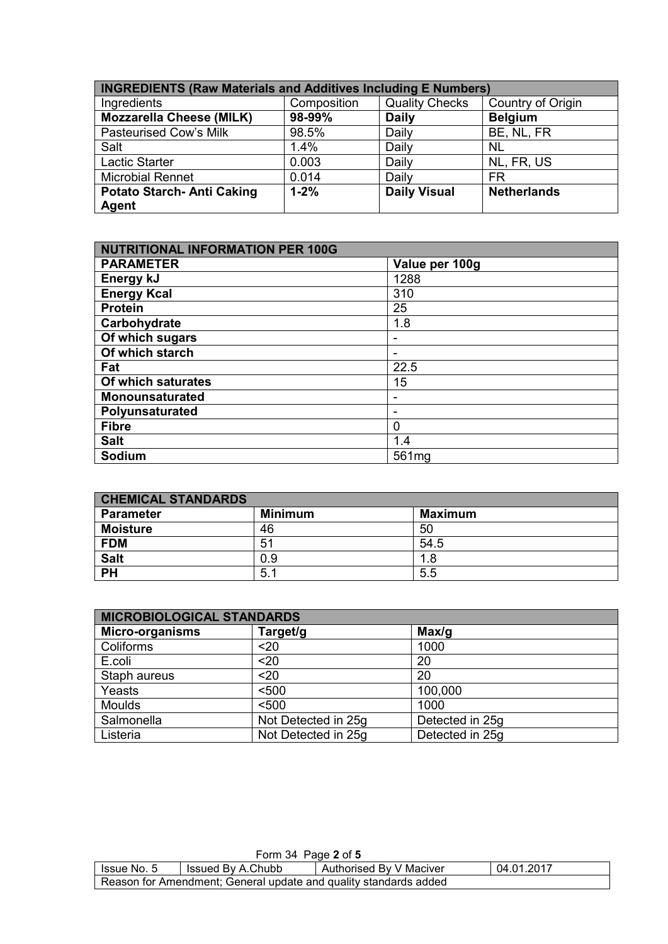| <b>INGREDIENTS (Raw Materials and Additives Including E Numbers)</b> |             |                       |                    |
|----------------------------------------------------------------------|-------------|-----------------------|--------------------|
| Ingredients                                                          | Composition | <b>Quality Checks</b> | Country of Origin  |
| <b>Mozzarella Cheese (MILK)</b>                                      | 98-99%      | <b>Daily</b>          | <b>Belgium</b>     |
| <b>Pasteurised Cow's Milk</b>                                        | 98.5%       | Daily                 | BE, NL, FR         |
| Salt                                                                 | 1.4%        | Daily                 | <b>NL</b>          |
| Lactic Starter                                                       | 0.003       | Daily                 | NL, FR, US         |
| <b>Microbial Rennet</b>                                              | 0.014       | Daily                 | <b>FR</b>          |
| Potato Starch- Anti Caking                                           | $1 - 2%$    | <b>Daily Visual</b>   | <b>Netherlands</b> |
| <b>Agent</b>                                                         |             |                       |                    |

| <b>NUTRITIONAL INFORMATION PER 100G</b> |                |  |
|-----------------------------------------|----------------|--|
| <b>PARAMETER</b>                        | Value per 100g |  |
| Energy kJ                               | 1288           |  |
| <b>Energy Kcal</b>                      | 310            |  |
| <b>Protein</b>                          | 25             |  |
| Carbohydrate                            | 1.8            |  |
| Of which sugars                         |                |  |
| Of which starch                         |                |  |
| Fat                                     | 22.5           |  |
| Of which saturates                      | 15             |  |
| <b>Monounsaturated</b>                  |                |  |
| Polyunsaturated                         |                |  |
| <b>Fibre</b>                            | 0              |  |
| <b>Salt</b>                             | 1.4            |  |
| Sodium                                  | 561mg          |  |

| <b>CHEMICAL STANDARDS</b> |                |                |  |
|---------------------------|----------------|----------------|--|
| <b>Parameter</b>          | <b>Minimum</b> | <b>Maximum</b> |  |
| <b>Moisture</b>           | 46             | 50             |  |
| <b>FDM</b>                | 51             | 54.5           |  |
| <b>Salt</b>               | 0.9            | 1.8            |  |
| <b>PH</b>                 | 5.1            | 5.5            |  |

| <b>MICROBIOLOGICAL STANDARDS</b> |                     |                 |  |
|----------------------------------|---------------------|-----------------|--|
| Micro-organisms                  | Target/g            | Max/g           |  |
| Coliforms                        | $20$                | 1000            |  |
| E.coli                           | $20$                | 20              |  |
| Staph aureus                     | $20$                | 20              |  |
| Yeasts                           | < 500               | 100,000         |  |
| <b>Moulds</b>                    | < 500               | 1000            |  |
| Salmonella                       | Not Detected in 25g | Detected in 25g |  |
| Listeria                         | Not Detected in 25g | Detected in 25g |  |

| Form 34 Page 2 of 5                                                       |  |  |  |  |
|---------------------------------------------------------------------------|--|--|--|--|
| 04.01.2017<br>Authorised By V Maciver<br>Issued By A.Chubb<br>Issue No. 5 |  |  |  |  |
| Reason for Amendment; General update and quality standards added          |  |  |  |  |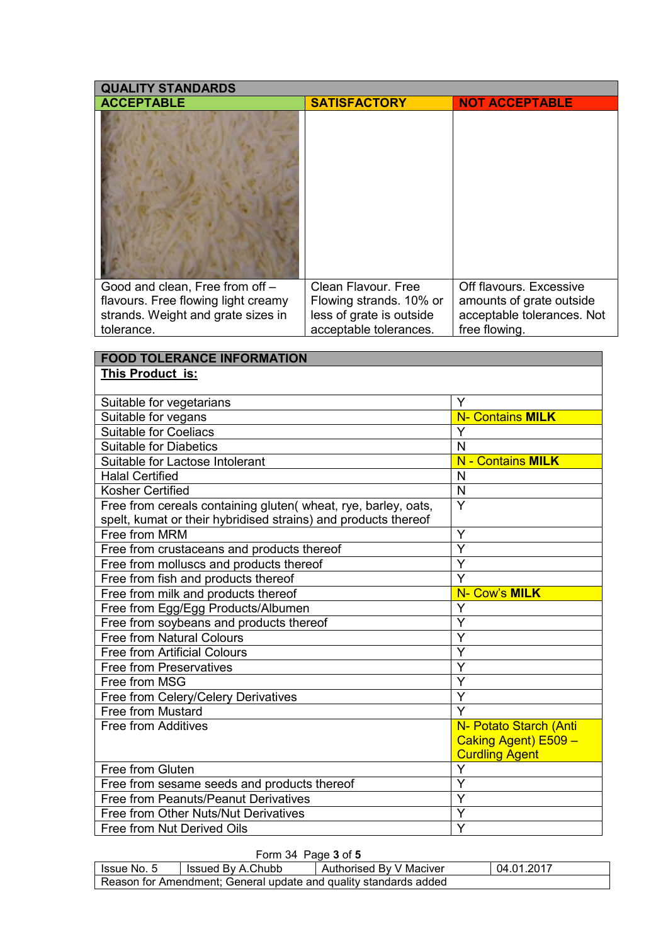| <b>QUALITY STANDARDS</b>                                                                                                   |                                                                                                      |                                                                                                    |  |
|----------------------------------------------------------------------------------------------------------------------------|------------------------------------------------------------------------------------------------------|----------------------------------------------------------------------------------------------------|--|
| <b>ACCEPTABLE</b>                                                                                                          | <b>SATISFACTORY</b>                                                                                  | <b>NOT ACCEPTABLE</b>                                                                              |  |
|                                                                                                                            |                                                                                                      |                                                                                                    |  |
| Good and clean, Free from off -<br>flavours. Free flowing light creamy<br>strands. Weight and grate sizes in<br>tolerance. | Clean Flavour, Free<br>Flowing strands. 10% or<br>less of grate is outside<br>acceptable tolerances. | Off flavours, Excessive<br>amounts of grate outside<br>acceptable tolerances. Not<br>free flowing. |  |

## **FOOD TOLERANCE INFORMATION This Product is:**

| Suitable for vegetarians                                       | Y                        |
|----------------------------------------------------------------|--------------------------|
| Suitable for vegans                                            | <b>N- Contains MILK</b>  |
| <b>Suitable for Coeliacs</b>                                   | Y                        |
| <b>Suitable for Diabetics</b>                                  | N                        |
| Suitable for Lactose Intolerant                                | <b>N</b> - Contains MILK |
| <b>Halal Certified</b>                                         | N                        |
| <b>Kosher Certified</b>                                        | N                        |
| Free from cereals containing gluten( wheat, rye, barley, oats, | $\overline{Y}$           |
| spelt, kumat or their hybridised strains) and products thereof |                          |
| Free from MRM                                                  | Y                        |
| Free from crustaceans and products thereof                     | Y                        |
| Free from molluscs and products thereof                        | Y                        |
| Free from fish and products thereof                            | $\overline{\mathsf{Y}}$  |
| Free from milk and products thereof                            | N- Cow's MILK            |
| Free from Egg/Egg Products/Albumen                             | Y                        |
| Free from soybeans and products thereof                        | Ý                        |
| <b>Free from Natural Colours</b>                               | Y                        |
| <b>Free from Artificial Colours</b>                            | $\overline{Y}$           |
| <b>Free from Preservatives</b>                                 | Y                        |
| Free from MSG                                                  | Y                        |
| Free from Celery/Celery Derivatives                            | $\overline{\mathsf{Y}}$  |
| Free from Mustard                                              | $\overline{Y}$           |
| <b>Free from Additives</b>                                     | N- Potato Starch (Anti   |
|                                                                | Caking Agent) E509 -     |
|                                                                | <b>Curdling Agent</b>    |
| Free from Gluten                                               | Y                        |
| Free from sesame seeds and products thereof                    | Ý                        |
| Free from Peanuts/Peanut Derivatives                           | Y                        |
| Free from Other Nuts/Nut Derivatives                           | Y                        |
| Free from Nut Derived Oils                                     | Ý                        |

|                                                                  | Form 34 Page 3 of 5 |                         |            |  |
|------------------------------------------------------------------|---------------------|-------------------------|------------|--|
| Issue No. 5                                                      | Issued By A.Chubb   | Authorised By V Maciver | 04.01.2017 |  |
| Reason for Amendment; General update and quality standards added |                     |                         |            |  |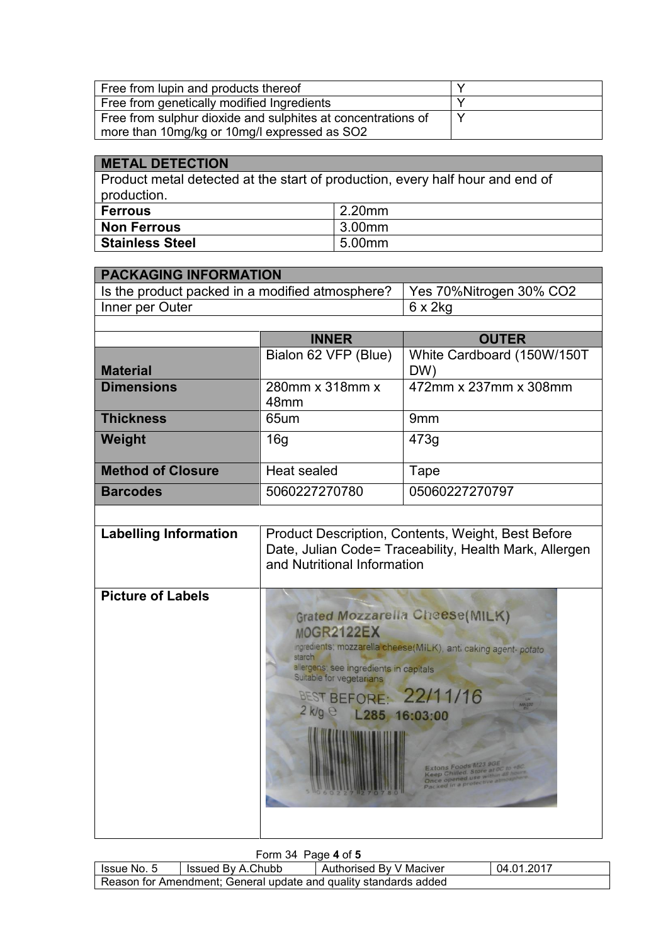| Free from lupin and products thereof                         |  |
|--------------------------------------------------------------|--|
| Free from genetically modified Ingredients                   |  |
| Free from sulphur dioxide and sulphites at concentrations of |  |
| more than 10mg/kg or 10mg/l expressed as SO2                 |  |

| <b>METAL DETECTION</b>                                                                       |        |  |  |
|----------------------------------------------------------------------------------------------|--------|--|--|
| Product metal detected at the start of production, every half hour and end of<br>production. |        |  |  |
| <b>Ferrous</b>                                                                               | 2.20mm |  |  |
| <b>Non Ferrous</b>                                                                           | 3.00mm |  |  |
| <b>Stainless Steel</b>                                                                       | 5.00mm |  |  |

| <b>PACKAGING INFORMATION</b>                    |                                                                                                                                                                                                                                                      |                                   |  |  |
|-------------------------------------------------|------------------------------------------------------------------------------------------------------------------------------------------------------------------------------------------------------------------------------------------------------|-----------------------------------|--|--|
| Is the product packed in a modified atmosphere? |                                                                                                                                                                                                                                                      | Yes 70%Nitrogen 30% CO2           |  |  |
| Inner per Outer                                 |                                                                                                                                                                                                                                                      | $6 \times 2$ kg                   |  |  |
|                                                 |                                                                                                                                                                                                                                                      |                                   |  |  |
|                                                 | <b>INNER</b>                                                                                                                                                                                                                                         | <b>OUTER</b>                      |  |  |
| <b>Material</b>                                 | Bialon 62 VFP (Blue)                                                                                                                                                                                                                                 | White Cardboard (150W/150T<br>DW) |  |  |
| <b>Dimensions</b>                               | 280mm x 318mm x<br>48mm                                                                                                                                                                                                                              | 472mm x 237mm x 308mm             |  |  |
| <b>Thickness</b>                                | 65um                                                                                                                                                                                                                                                 | 9 <sub>mm</sub>                   |  |  |
| Weight                                          | 16 <sub>q</sub>                                                                                                                                                                                                                                      | 473q                              |  |  |
| <b>Method of Closure</b>                        | <b>Heat sealed</b>                                                                                                                                                                                                                                   | Tape                              |  |  |
| <b>Barcodes</b>                                 | 5060227270780                                                                                                                                                                                                                                        | 05060227270797                    |  |  |
|                                                 |                                                                                                                                                                                                                                                      |                                   |  |  |
| <b>Labelling Information</b>                    | Product Description, Contents, Weight, Best Before<br>Date, Julian Code= Traceability, Health Mark, Allergen<br>and Nutritional Information                                                                                                          |                                   |  |  |
| <b>Picture of Labels</b>                        | <b>Grated Mozzarella Cheese(MILK)</b><br><b>MOGR2122EX</b><br>ingredients; mozzarella cheese(MiLK), anti caking agent-potato<br>allergens; see ingredients in capitals<br>Suitable for vegetarians<br>BEST BEFORE: 22/11/16<br>2 k/g e L285 16:03:00 |                                   |  |  |

## Form 34 Page **4** of **5**

| Issue No. 5                                                                   | Issued By A.Chubb | Authorised By V Maciver | 04.01.2017 |
|-------------------------------------------------------------------------------|-------------------|-------------------------|------------|
| <sup>1</sup> Reason for Amendment; General update and quality standards added |                   |                         |            |